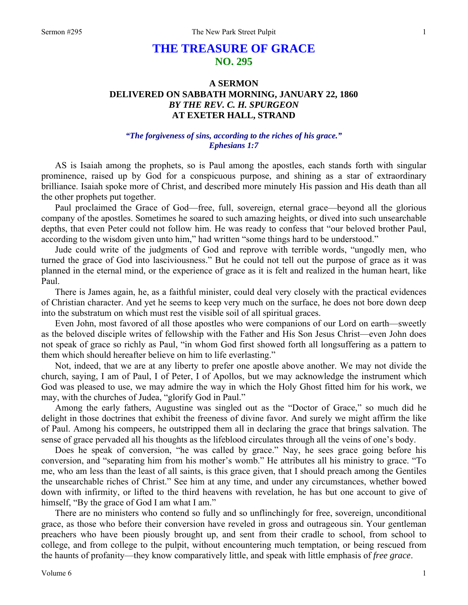# **THE TREASURE OF GRACE NO. 295**

## **A SERMON DELIVERED ON SABBATH MORNING, JANUARY 22, 1860**  *BY THE REV. C. H. SPURGEON*  **AT EXETER HALL, STRAND**

## *"The forgiveness of sins, according to the riches of his grace." Ephesians 1:7*

AS is Isaiah among the prophets, so is Paul among the apostles, each stands forth with singular prominence, raised up by God for a conspicuous purpose, and shining as a star of extraordinary brilliance. Isaiah spoke more of Christ, and described more minutely His passion and His death than all the other prophets put together.

Paul proclaimed the Grace of God—free, full, sovereign, eternal grace—beyond all the glorious company of the apostles. Sometimes he soared to such amazing heights, or dived into such unsearchable depths, that even Peter could not follow him. He was ready to confess that "our beloved brother Paul, according to the wisdom given unto him," had written "some things hard to be understood."

Jude could write of the judgments of God and reprove with terrible words, "ungodly men, who turned the grace of God into lasciviousness." But he could not tell out the purpose of grace as it was planned in the eternal mind, or the experience of grace as it is felt and realized in the human heart, like Paul.

There is James again, he, as a faithful minister, could deal very closely with the practical evidences of Christian character. And yet he seems to keep very much on the surface, he does not bore down deep into the substratum on which must rest the visible soil of all spiritual graces.

Even John, most favored of all those apostles who were companions of our Lord on earth—sweetly as the beloved disciple writes of fellowship with the Father and His Son Jesus Christ—even John does not speak of grace so richly as Paul, "in whom God first showed forth all longsuffering as a pattern to them which should hereafter believe on him to life everlasting."

Not, indeed, that we are at any liberty to prefer one apostle above another. We may not divide the church, saying, I am of Paul, I of Peter, I of Apollos, but we may acknowledge the instrument which God was pleased to use, we may admire the way in which the Holy Ghost fitted him for his work, we may, with the churches of Judea, "glorify God in Paul."

Among the early fathers, Augustine was singled out as the "Doctor of Grace," so much did he delight in those doctrines that exhibit the freeness of divine favor. And surely we might affirm the like of Paul. Among his compeers, he outstripped them all in declaring the grace that brings salvation. The sense of grace pervaded all his thoughts as the lifeblood circulates through all the veins of one's body.

Does he speak of conversion, "he was called by grace." Nay, he sees grace going before his conversion, and "separating him from his mother's womb." He attributes all his ministry to grace. "To me, who am less than the least of all saints, is this grace given, that I should preach among the Gentiles the unsearchable riches of Christ." See him at any time, and under any circumstances, whether bowed down with infirmity, or lifted to the third heavens with revelation, he has but one account to give of himself, "By the grace of God I am what I am."

There are no ministers who contend so fully and so unflinchingly for free, sovereign, unconditional grace, as those who before their conversion have reveled in gross and outrageous sin. Your gentleman preachers who have been piously brought up, and sent from their cradle to school, from school to college, and from college to the pulpit, without encountering much temptation, or being rescued from the haunts of profanity—they know comparatively little, and speak with little emphasis of *free grace*.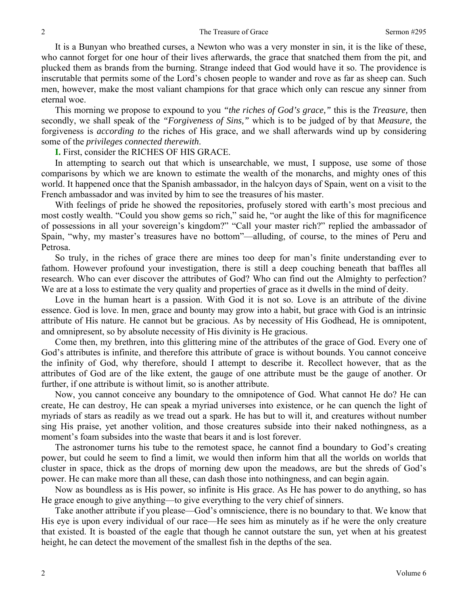It is a Bunyan who breathed curses, a Newton who was a very monster in sin, it is the like of these, who cannot forget for one hour of their lives afterwards, the grace that snatched them from the pit, and plucked them as brands from the burning. Strange indeed that God would have it so. The providence is inscrutable that permits some of the Lord's chosen people to wander and rove as far as sheep can. Such men, however, make the most valiant champions for that grace which only can rescue any sinner from eternal woe.

This morning we propose to expound to you *"the riches of God's grace,"* this is the *Treasure,* then secondly, we shall speak of the *"Forgiveness of Sins,"* which is to be judged of by that *Measure,* the forgiveness is *according to* the riches of His grace, and we shall afterwards wind up by considering some of the *privileges connected therewith*.

**I.** First, consider the RICHES OF HIS GRACE.

In attempting to search out that which is unsearchable, we must, I suppose, use some of those comparisons by which we are known to estimate the wealth of the monarchs, and mighty ones of this world. It happened once that the Spanish ambassador, in the halcyon days of Spain, went on a visit to the French ambassador and was invited by him to see the treasures of his master.

With feelings of pride he showed the repositories, profusely stored with earth's most precious and most costly wealth. "Could you show gems so rich," said he, "or aught the like of this for magnificence of possessions in all your sovereign's kingdom?" "Call your master rich?" replied the ambassador of Spain, "why, my master's treasures have no bottom"—alluding, of course, to the mines of Peru and Petrosa.

So truly, in the riches of grace there are mines too deep for man's finite understanding ever to fathom. However profound your investigation, there is still a deep couching beneath that baffles all research. Who can ever discover the attributes of God? Who can find out the Almighty to perfection? We are at a loss to estimate the very quality and properties of grace as it dwells in the mind of deity.

Love in the human heart is a passion. With God it is not so. Love is an attribute of the divine essence. God is love. In men, grace and bounty may grow into a habit, but grace with God is an intrinsic attribute of His nature. He cannot but be gracious. As by necessity of His Godhead, He is omnipotent, and omnipresent, so by absolute necessity of His divinity is He gracious.

Come then, my brethren, into this glittering mine of the attributes of the grace of God. Every one of God's attributes is infinite, and therefore this attribute of grace is without bounds. You cannot conceive the infinity of God, why therefore, should I attempt to describe it. Recollect however, that as the attributes of God are of the like extent, the gauge of one attribute must be the gauge of another. Or further, if one attribute is without limit, so is another attribute.

Now, you cannot conceive any boundary to the omnipotence of God. What cannot He do? He can create, He can destroy, He can speak a myriad universes into existence, or he can quench the light of myriads of stars as readily as we tread out a spark. He has but to will it, and creatures without number sing His praise, yet another volition, and those creatures subside into their naked nothingness, as a moment's foam subsides into the waste that bears it and is lost forever.

The astronomer turns his tube to the remotest space, he cannot find a boundary to God's creating power, but could he seem to find a limit, we would then inform him that all the worlds on worlds that cluster in space, thick as the drops of morning dew upon the meadows, are but the shreds of God's power. He can make more than all these, can dash those into nothingness, and can begin again.

Now as boundless as is His power, so infinite is His grace. As He has power to do anything, so has He grace enough to give anything—to give everything to the very chief of sinners.

Take another attribute if you please—God's omniscience, there is no boundary to that. We know that His eye is upon every individual of our race—He sees him as minutely as if he were the only creature that existed. It is boasted of the eagle that though he cannot outstare the sun, yet when at his greatest height, he can detect the movement of the smallest fish in the depths of the sea.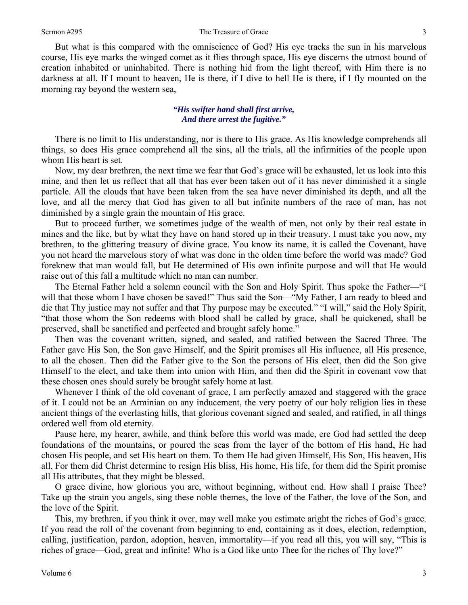But what is this compared with the omniscience of God? His eye tracks the sun in his marvelous course, His eye marks the winged comet as it flies through space, His eye discerns the utmost bound of creation inhabited or uninhabited. There is nothing hid from the light thereof, with Him there is no darkness at all. If I mount to heaven, He is there, if I dive to hell He is there, if I fly mounted on the morning ray beyond the western sea,

### *"His swifter hand shall first arrive, And there arrest the fugitive."*

There is no limit to His understanding, nor is there to His grace. As His knowledge comprehends all things, so does His grace comprehend all the sins, all the trials, all the infirmities of the people upon whom His heart is set.

Now, my dear brethren, the next time we fear that God's grace will be exhausted, let us look into this mine, and then let us reflect that all that has ever been taken out of it has never diminished it a single particle. All the clouds that have been taken from the sea have never diminished its depth, and all the love, and all the mercy that God has given to all but infinite numbers of the race of man, has not diminished by a single grain the mountain of His grace.

But to proceed further, we sometimes judge of the wealth of men, not only by their real estate in mines and the like, but by what they have on hand stored up in their treasury. I must take you now, my brethren, to the glittering treasury of divine grace. You know its name, it is called the Covenant, have you not heard the marvelous story of what was done in the olden time before the world was made? God foreknew that man would fall, but He determined of His own infinite purpose and will that He would raise out of this fall a multitude which no man can number.

The Eternal Father held a solemn council with the Son and Holy Spirit. Thus spoke the Father—"I will that those whom I have chosen be saved!" Thus said the Son—"My Father, I am ready to bleed and die that Thy justice may not suffer and that Thy purpose may be executed." "I will," said the Holy Spirit, "that those whom the Son redeems with blood shall be called by grace, shall be quickened, shall be preserved, shall be sanctified and perfected and brought safely home."

Then was the covenant written, signed, and sealed, and ratified between the Sacred Three. The Father gave His Son, the Son gave Himself, and the Spirit promises all His influence, all His presence, to all the chosen. Then did the Father give to the Son the persons of His elect, then did the Son give Himself to the elect, and take them into union with Him, and then did the Spirit in covenant vow that these chosen ones should surely be brought safely home at last.

Whenever I think of the old covenant of grace, I am perfectly amazed and staggered with the grace of it. I could not be an Arminian on any inducement, the very poetry of our holy religion lies in these ancient things of the everlasting hills, that glorious covenant signed and sealed, and ratified, in all things ordered well from old eternity.

Pause here, my hearer, awhile, and think before this world was made, ere God had settled the deep foundations of the mountains, or poured the seas from the layer of the bottom of His hand, He had chosen His people, and set His heart on them. To them He had given Himself, His Son, His heaven, His all. For them did Christ determine to resign His bliss, His home, His life, for them did the Spirit promise all His attributes, that they might be blessed.

O grace divine, how glorious you are, without beginning, without end. How shall I praise Thee? Take up the strain you angels, sing these noble themes, the love of the Father, the love of the Son, and the love of the Spirit.

This, my brethren, if you think it over, may well make you estimate aright the riches of God's grace. If you read the roll of the covenant from beginning to end, containing as it does, election, redemption, calling, justification, pardon, adoption, heaven, immortality—if you read all this, you will say, "This is riches of grace—God, great and infinite! Who is a God like unto Thee for the riches of Thy love?"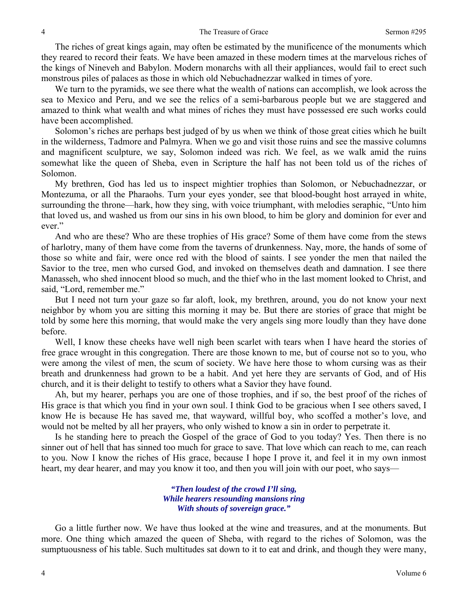The riches of great kings again, may often be estimated by the munificence of the monuments which they reared to record their feats. We have been amazed in these modern times at the marvelous riches of the kings of Nineveh and Babylon. Modern monarchs with all their appliances, would fail to erect such monstrous piles of palaces as those in which old Nebuchadnezzar walked in times of yore.

We turn to the pyramids, we see there what the wealth of nations can accomplish, we look across the sea to Mexico and Peru, and we see the relics of a semi-barbarous people but we are staggered and amazed to think what wealth and what mines of riches they must have possessed ere such works could have been accomplished.

Solomon's riches are perhaps best judged of by us when we think of those great cities which he built in the wilderness, Tadmore and Palmyra. When we go and visit those ruins and see the massive columns and magnificent sculpture, we say, Solomon indeed was rich. We feel, as we walk amid the ruins somewhat like the queen of Sheba, even in Scripture the half has not been told us of the riches of Solomon.

My brethren, God has led us to inspect mightier trophies than Solomon, or Nebuchadnezzar, or Montezuma, or all the Pharaohs. Turn your eyes yonder, see that blood-bought host arrayed in white, surrounding the throne—hark, how they sing, with voice triumphant, with melodies seraphic, "Unto him that loved us, and washed us from our sins in his own blood, to him be glory and dominion for ever and ever."

And who are these? Who are these trophies of His grace? Some of them have come from the stews of harlotry, many of them have come from the taverns of drunkenness. Nay, more, the hands of some of those so white and fair, were once red with the blood of saints. I see yonder the men that nailed the Savior to the tree, men who cursed God, and invoked on themselves death and damnation. I see there Manasseh, who shed innocent blood so much, and the thief who in the last moment looked to Christ, and said, "Lord, remember me."

But I need not turn your gaze so far aloft, look, my brethren, around, you do not know your next neighbor by whom you are sitting this morning it may be. But there are stories of grace that might be told by some here this morning, that would make the very angels sing more loudly than they have done before.

Well, I know these cheeks have well nigh been scarlet with tears when I have heard the stories of free grace wrought in this congregation. There are those known to me, but of course not so to you, who were among the vilest of men, the scum of society. We have here those to whom cursing was as their breath and drunkenness had grown to be a habit. And yet here they are servants of God, and of His church, and it is their delight to testify to others what a Savior they have found.

Ah, but my hearer, perhaps you are one of those trophies, and if so, the best proof of the riches of His grace is that which you find in your own soul. I think God to be gracious when I see others saved, I know He is because He has saved me, that wayward, willful boy, who scoffed a mother's love, and would not be melted by all her prayers, who only wished to know a sin in order to perpetrate it.

Is he standing here to preach the Gospel of the grace of God to you today? Yes. Then there is no sinner out of hell that has sinned too much for grace to save. That love which can reach to me, can reach to you. Now I know the riches of His grace, because I hope I prove it, and feel it in my own inmost heart, my dear hearer, and may you know it too, and then you will join with our poet, who says—

> *"Then loudest of the crowd I'll sing, While hearers resounding mansions ring With shouts of sovereign grace."*

Go a little further now. We have thus looked at the wine and treasures, and at the monuments. But more. One thing which amazed the queen of Sheba, with regard to the riches of Solomon, was the sumptuousness of his table. Such multitudes sat down to it to eat and drink, and though they were many,

4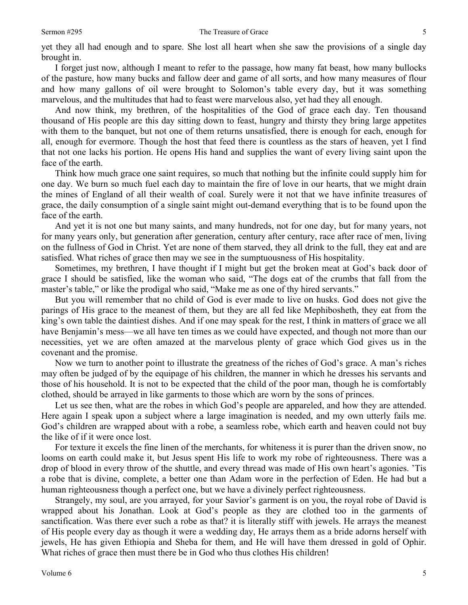yet they all had enough and to spare. She lost all heart when she saw the provisions of a single day brought in.

I forget just now, although I meant to refer to the passage, how many fat beast, how many bullocks of the pasture, how many bucks and fallow deer and game of all sorts, and how many measures of flour and how many gallons of oil were brought to Solomon's table every day, but it was something marvelous, and the multitudes that had to feast were marvelous also, yet had they all enough.

And now think, my brethren, of the hospitalities of the God of grace each day. Ten thousand thousand of His people are this day sitting down to feast, hungry and thirsty they bring large appetites with them to the banquet, but not one of them returns unsatisfied, there is enough for each, enough for all, enough for evermore. Though the host that feed there is countless as the stars of heaven, yet I find that not one lacks his portion. He opens His hand and supplies the want of every living saint upon the face of the earth.

Think how much grace one saint requires, so much that nothing but the infinite could supply him for one day. We burn so much fuel each day to maintain the fire of love in our hearts, that we might drain the mines of England of all their wealth of coal. Surely were it not that we have infinite treasures of grace, the daily consumption of a single saint might out-demand everything that is to be found upon the face of the earth.

And yet it is not one but many saints, and many hundreds, not for one day, but for many years, not for many years only, but generation after generation, century after century, race after race of men, living on the fullness of God in Christ. Yet are none of them starved, they all drink to the full, they eat and are satisfied. What riches of grace then may we see in the sumptuousness of His hospitality.

Sometimes, my brethren, I have thought if I might but get the broken meat at God's back door of grace I should be satisfied, like the woman who said, "The dogs eat of the crumbs that fall from the master's table," or like the prodigal who said, "Make me as one of thy hired servants."

But you will remember that no child of God is ever made to live on husks. God does not give the parings of His grace to the meanest of them, but they are all fed like Mephibosheth, they eat from the king's own table the daintiest dishes. And if one may speak for the rest, I think in matters of grace we all have Benjamin's mess—we all have ten times as we could have expected, and though not more than our necessities, yet we are often amazed at the marvelous plenty of grace which God gives us in the covenant and the promise.

Now we turn to another point to illustrate the greatness of the riches of God's grace. A man's riches may often be judged of by the equipage of his children, the manner in which he dresses his servants and those of his household. It is not to be expected that the child of the poor man, though he is comfortably clothed, should be arrayed in like garments to those which are worn by the sons of princes.

Let us see then, what are the robes in which God's people are appareled, and how they are attended. Here again I speak upon a subject where a large imagination is needed, and my own utterly fails me. God's children are wrapped about with a robe, a seamless robe, which earth and heaven could not buy the like of if it were once lost.

For texture it excels the fine linen of the merchants, for whiteness it is purer than the driven snow, no looms on earth could make it, but Jesus spent His life to work my robe of righteousness. There was a drop of blood in every throw of the shuttle, and every thread was made of His own heart's agonies. 'Tis a robe that is divine, complete, a better one than Adam wore in the perfection of Eden. He had but a human righteousness though a perfect one, but we have a divinely perfect righteousness.

Strangely, my soul, are you arrayed, for your Savior's garment is on you, the royal robe of David is wrapped about his Jonathan. Look at God's people as they are clothed too in the garments of sanctification. Was there ever such a robe as that? it is literally stiff with jewels. He arrays the meanest of His people every day as though it were a wedding day, He arrays them as a bride adorns herself with jewels, He has given Ethiopia and Sheba for them, and He will have them dressed in gold of Ophir. What riches of grace then must there be in God who thus clothes His children!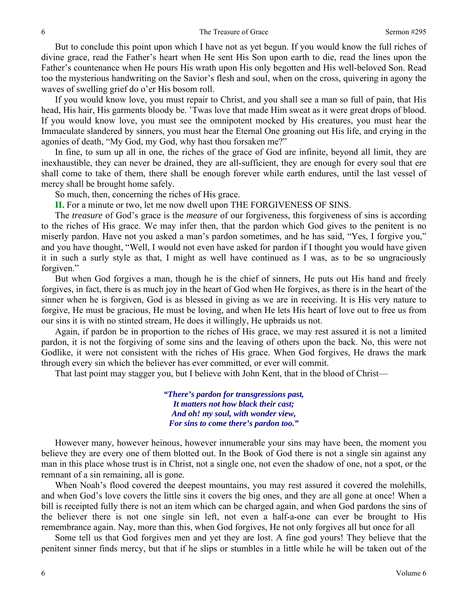But to conclude this point upon which I have not as yet begun. If you would know the full riches of divine grace, read the Father's heart when He sent His Son upon earth to die, read the lines upon the Father's countenance when He pours His wrath upon His only begotten and His well-beloved Son. Read too the mysterious handwriting on the Savior's flesh and soul, when on the cross, quivering in agony the waves of swelling grief do o'er His bosom roll.

If you would know love, you must repair to Christ, and you shall see a man so full of pain, that His head, His hair, His garments bloody be. 'Twas love that made Him sweat as it were great drops of blood. If you would know love, you must see the omnipotent mocked by His creatures, you must hear the Immaculate slandered by sinners, you must hear the Eternal One groaning out His life, and crying in the agonies of death, "My God, my God, why hast thou forsaken me?"

In fine, to sum up all in one, the riches of the grace of God are infinite, beyond all limit, they are inexhaustible, they can never be drained, they are all-sufficient, they are enough for every soul that ere shall come to take of them, there shall be enough forever while earth endures, until the last vessel of mercy shall be brought home safely.

So much, then, concerning the riches of His grace.

**II.** For a minute or two, let me now dwell upon THE FORGIVENESS OF SINS.

The *treasure* of God's grace is the *measure* of our forgiveness, this forgiveness of sins is according to the riches of His grace. We may infer then, that the pardon which God gives to the penitent is no miserly pardon. Have not you asked a man's pardon sometimes, and he has said, "Yes, I forgive you," and you have thought, "Well, I would not even have asked for pardon if I thought you would have given it in such a surly style as that, I might as well have continued as I was, as to be so ungraciously forgiven."

But when God forgives a man, though he is the chief of sinners, He puts out His hand and freely forgives, in fact, there is as much joy in the heart of God when He forgives, as there is in the heart of the sinner when he is forgiven, God is as blessed in giving as we are in receiving. It is His very nature to forgive, He must be gracious, He must be loving, and when He lets His heart of love out to free us from our sins it is with no stinted stream, He does it willingly, He upbraids us not.

Again, if pardon be in proportion to the riches of His grace, we may rest assured it is not a limited pardon, it is not the forgiving of some sins and the leaving of others upon the back. No, this were not Godlike, it were not consistent with the riches of His grace. When God forgives, He draws the mark through every sin which the believer has ever committed, or ever will commit.

That last point may stagger you, but I believe with John Kent, that in the blood of Christ—

*"There's pardon for transgressions past, It matters not how black their cast; And oh! my soul, with wonder view, For sins to come there's pardon too."* 

However many, however heinous, however innumerable your sins may have been, the moment you believe they are every one of them blotted out. In the Book of God there is not a single sin against any man in this place whose trust is in Christ, not a single one, not even the shadow of one, not a spot, or the remnant of a sin remaining, all is gone.

When Noah's flood covered the deepest mountains, you may rest assured it covered the molehills, and when God's love covers the little sins it covers the big ones, and they are all gone at once! When a bill is receipted fully there is not an item which can be charged again, and when God pardons the sins of the believer there is not one single sin left, not even a half-a-one can ever be brought to His remembrance again. Nay, more than this, when God forgives, He not only forgives all but once for all

Some tell us that God forgives men and yet they are lost. A fine god yours! They believe that the penitent sinner finds mercy, but that if he slips or stumbles in a little while he will be taken out of the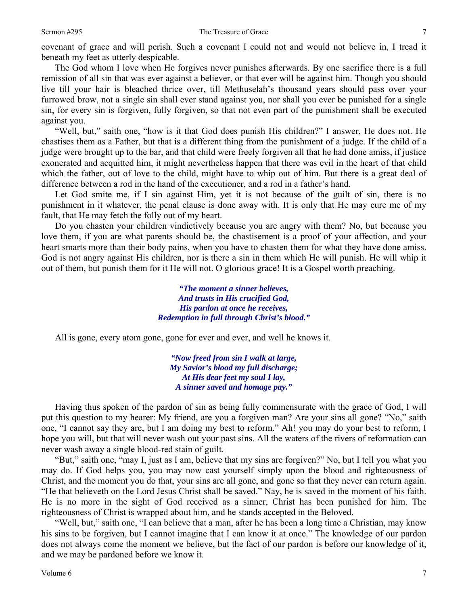covenant of grace and will perish. Such a covenant I could not and would not believe in, I tread it beneath my feet as utterly despicable.

The God whom I love when He forgives never punishes afterwards. By one sacrifice there is a full remission of all sin that was ever against a believer, or that ever will be against him. Though you should live till your hair is bleached thrice over, till Methuselah's thousand years should pass over your furrowed brow, not a single sin shall ever stand against you, nor shall you ever be punished for a single sin, for every sin is forgiven, fully forgiven, so that not even part of the punishment shall be executed against you.

"Well, but," saith one, "how is it that God does punish His children?" I answer, He does not. He chastises them as a Father, but that is a different thing from the punishment of a judge. If the child of a judge were brought up to the bar, and that child were freely forgiven all that he had done amiss, if justice exonerated and acquitted him, it might nevertheless happen that there was evil in the heart of that child which the father, out of love to the child, might have to whip out of him. But there is a great deal of difference between a rod in the hand of the executioner, and a rod in a father's hand.

Let God smite me, if I sin against Him, yet it is not because of the guilt of sin, there is no punishment in it whatever, the penal clause is done away with. It is only that He may cure me of my fault, that He may fetch the folly out of my heart.

Do you chasten your children vindictively because you are angry with them? No, but because you love them, if you are what parents should be, the chastisement is a proof of your affection, and your heart smarts more than their body pains, when you have to chasten them for what they have done amiss. God is not angry against His children, nor is there a sin in them which He will punish. He will whip it out of them, but punish them for it He will not. O glorious grace! It is a Gospel worth preaching.

> *"The moment a sinner believes, And trusts in His crucified God, His pardon at once he receives, Redemption in full through Christ's blood."*

All is gone, every atom gone, gone for ever and ever, and well he knows it.

*"Now freed from sin I walk at large, My Savior's blood my full discharge; At His dear feet my soul I lay, A sinner saved and homage pay."* 

Having thus spoken of the pardon of sin as being fully commensurate with the grace of God, I will put this question to my hearer: My friend, are you a forgiven man? Are your sins all gone? "No," saith one, "I cannot say they are, but I am doing my best to reform." Ah! you may do your best to reform, I hope you will, but that will never wash out your past sins. All the waters of the rivers of reformation can never wash away a single blood-red stain of guilt.

"But," saith one, "may I, just as I am, believe that my sins are forgiven?" No, but I tell you what you may do. If God helps you, you may now cast yourself simply upon the blood and righteousness of Christ, and the moment you do that, your sins are all gone, and gone so that they never can return again. "He that believeth on the Lord Jesus Christ shall be saved." Nay, he is saved in the moment of his faith. He is no more in the sight of God received as a sinner, Christ has been punished for him. The righteousness of Christ is wrapped about him, and he stands accepted in the Beloved.

"Well, but," saith one, "I can believe that a man, after he has been a long time a Christian, may know his sins to be forgiven, but I cannot imagine that I can know it at once." The knowledge of our pardon does not always come the moment we believe, but the fact of our pardon is before our knowledge of it, and we may be pardoned before we know it.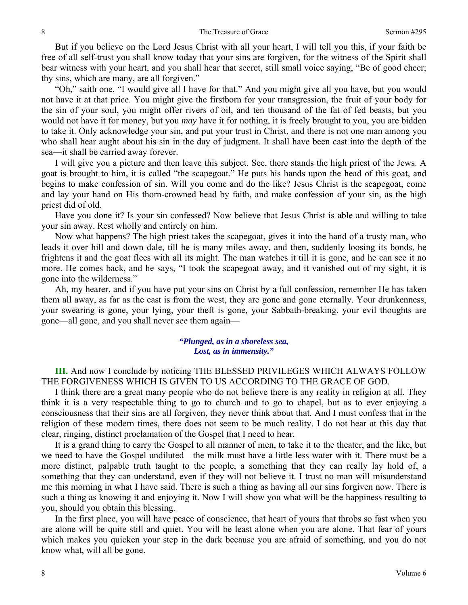But if you believe on the Lord Jesus Christ with all your heart, I will tell you this, if your faith be free of all self-trust you shall know today that your sins are forgiven, for the witness of the Spirit shall bear witness with your heart, and you shall hear that secret, still small voice saying, "Be of good cheer; thy sins, which are many, are all forgiven."

"Oh," saith one, "I would give all I have for that." And you might give all you have, but you would not have it at that price. You might give the firstborn for your transgression, the fruit of your body for the sin of your soul, you might offer rivers of oil, and ten thousand of the fat of fed beasts, but you would not have it for money, but you *may* have it for nothing, it is freely brought to you, you are bidden to take it. Only acknowledge your sin, and put your trust in Christ, and there is not one man among you who shall hear aught about his sin in the day of judgment. It shall have been cast into the depth of the sea—it shall be carried away forever.

I will give you a picture and then leave this subject. See, there stands the high priest of the Jews. A goat is brought to him, it is called "the scapegoat." He puts his hands upon the head of this goat, and begins to make confession of sin. Will you come and do the like? Jesus Christ is the scapegoat, come and lay your hand on His thorn-crowned head by faith, and make confession of your sin, as the high priest did of old.

Have you done it? Is your sin confessed? Now believe that Jesus Christ is able and willing to take your sin away. Rest wholly and entirely on him.

Now what happens? The high priest takes the scapegoat, gives it into the hand of a trusty man, who leads it over hill and down dale, till he is many miles away, and then, suddenly loosing its bonds, he frightens it and the goat flees with all its might. The man watches it till it is gone, and he can see it no more. He comes back, and he says, "I took the scapegoat away, and it vanished out of my sight, it is gone into the wilderness."

Ah, my hearer, and if you have put your sins on Christ by a full confession, remember He has taken them all away, as far as the east is from the west, they are gone and gone eternally. Your drunkenness, your swearing is gone, your lying, your theft is gone, your Sabbath-breaking, your evil thoughts are gone—all gone, and you shall never see them again—

#### *"Plunged, as in a shoreless sea, Lost, as in immensity."*

**III.** And now I conclude by noticing THE BLESSED PRIVILEGES WHICH ALWAYS FOLLOW THE FORGIVENESS WHICH IS GIVEN TO US ACCORDING TO THE GRACE OF GOD.

I think there are a great many people who do not believe there is any reality in religion at all. They think it is a very respectable thing to go to church and to go to chapel, but as to ever enjoying a consciousness that their sins are all forgiven, they never think about that. And I must confess that in the religion of these modern times, there does not seem to be much reality. I do not hear at this day that clear, ringing, distinct proclamation of the Gospel that I need to hear.

It is a grand thing to carry the Gospel to all manner of men, to take it to the theater, and the like, but we need to have the Gospel undiluted—the milk must have a little less water with it. There must be a more distinct, palpable truth taught to the people, a something that they can really lay hold of, a something that they can understand, even if they will not believe it. I trust no man will misunderstand me this morning in what I have said. There is such a thing as having all our sins forgiven now. There is such a thing as knowing it and enjoying it. Now I will show you what will be the happiness resulting to you, should you obtain this blessing.

In the first place, you will have peace of conscience, that heart of yours that throbs so fast when you are alone will be quite still and quiet. You will be least alone when you are alone. That fear of yours which makes you quicken your step in the dark because you are afraid of something, and you do not know what, will all be gone.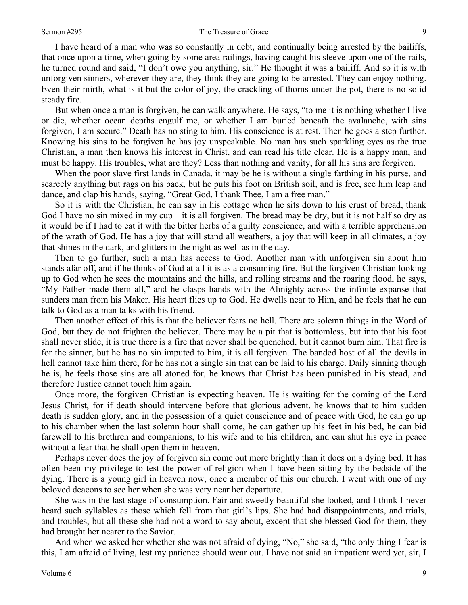I have heard of a man who was so constantly in debt, and continually being arrested by the bailiffs, that once upon a time, when going by some area railings, having caught his sleeve upon one of the rails, he turned round and said, "I don't owe you anything, sir." He thought it was a bailiff. And so it is with unforgiven sinners, wherever they are, they think they are going to be arrested. They can enjoy nothing. Even their mirth, what is it but the color of joy, the crackling of thorns under the pot, there is no solid steady fire.

But when once a man is forgiven, he can walk anywhere. He says, "to me it is nothing whether I live or die, whether ocean depths engulf me, or whether I am buried beneath the avalanche, with sins forgiven, I am secure." Death has no sting to him. His conscience is at rest. Then he goes a step further. Knowing his sins to be forgiven he has joy unspeakable. No man has such sparkling eyes as the true Christian, a man then knows his interest in Christ, and can read his title clear. He is a happy man, and must be happy. His troubles, what are they? Less than nothing and vanity, for all his sins are forgiven.

When the poor slave first lands in Canada, it may be he is without a single farthing in his purse, and scarcely anything but rags on his back, but he puts his foot on British soil, and is free, see him leap and dance, and clap his hands, saying, "Great God, I thank Thee, I am a free man."

So it is with the Christian, he can say in his cottage when he sits down to his crust of bread, thank God I have no sin mixed in my cup—it is all forgiven. The bread may be dry, but it is not half so dry as it would be if I had to eat it with the bitter herbs of a guilty conscience, and with a terrible apprehension of the wrath of God. He has a joy that will stand all weathers, a joy that will keep in all climates, a joy that shines in the dark, and glitters in the night as well as in the day.

Then to go further, such a man has access to God. Another man with unforgiven sin about him stands afar off, and if he thinks of God at all it is as a consuming fire. But the forgiven Christian looking up to God when he sees the mountains and the hills, and rolling streams and the roaring flood, he says, "My Father made them all," and he clasps hands with the Almighty across the infinite expanse that sunders man from his Maker. His heart flies up to God. He dwells near to Him, and he feels that he can talk to God as a man talks with his friend.

Then another effect of this is that the believer fears no hell. There are solemn things in the Word of God, but they do not frighten the believer. There may be a pit that is bottomless, but into that his foot shall never slide, it is true there is a fire that never shall be quenched, but it cannot burn him. That fire is for the sinner, but he has no sin imputed to him, it is all forgiven. The banded host of all the devils in hell cannot take him there, for he has not a single sin that can be laid to his charge. Daily sinning though he is, he feels those sins are all atoned for, he knows that Christ has been punished in his stead, and therefore Justice cannot touch him again.

Once more, the forgiven Christian is expecting heaven. He is waiting for the coming of the Lord Jesus Christ, for if death should intervene before that glorious advent, he knows that to him sudden death is sudden glory, and in the possession of a quiet conscience and of peace with God, he can go up to his chamber when the last solemn hour shall come, he can gather up his feet in his bed, he can bid farewell to his brethren and companions, to his wife and to his children, and can shut his eye in peace without a fear that he shall open them in heaven.

Perhaps never does the joy of forgiven sin come out more brightly than it does on a dying bed. It has often been my privilege to test the power of religion when I have been sitting by the bedside of the dying. There is a young girl in heaven now, once a member of this our church. I went with one of my beloved deacons to see her when she was very near her departure.

She was in the last stage of consumption. Fair and sweetly beautiful she looked, and I think I never heard such syllables as those which fell from that girl's lips. She had had disappointments, and trials, and troubles, but all these she had not a word to say about, except that she blessed God for them, they had brought her nearer to the Savior.

And when we asked her whether she was not afraid of dying, "No," she said, "the only thing I fear is this, I am afraid of living, lest my patience should wear out. I have not said an impatient word yet, sir, I